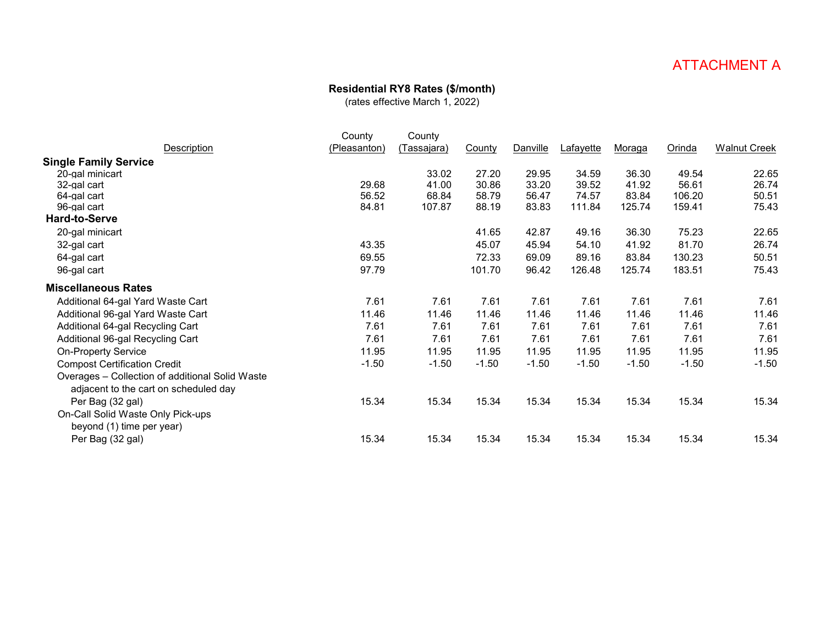### **Residential RY8 Rates (\$/month)**

|                                                                                          | County       | County             |         |                 |                  |               |         |                     |
|------------------------------------------------------------------------------------------|--------------|--------------------|---------|-----------------|------------------|---------------|---------|---------------------|
| Description                                                                              | (Pleasanton) | <u>(Tassajara)</u> | County  | <b>Danville</b> | <u>Lafayette</u> | <u>Moraga</u> | Orinda  | <b>Walnut Creek</b> |
| <b>Single Family Service</b>                                                             |              |                    |         |                 |                  |               |         |                     |
| 20-gal minicart                                                                          |              | 33.02              | 27.20   | 29.95           | 34.59            | 36.30         | 49.54   | 22.65               |
| 32-gal cart                                                                              | 29.68        | 41.00              | 30.86   | 33.20           | 39.52            | 41.92         | 56.61   | 26.74               |
| 64-gal cart                                                                              | 56.52        | 68.84              | 58.79   | 56.47           | 74.57            | 83.84         | 106.20  | 50.51               |
| 96-gal cart                                                                              | 84.81        | 107.87             | 88.19   | 83.83           | 111.84           | 125.74        | 159.41  | 75.43               |
| <b>Hard-to-Serve</b>                                                                     |              |                    |         |                 |                  |               |         |                     |
| 20-gal minicart                                                                          |              |                    | 41.65   | 42.87           | 49.16            | 36.30         | 75.23   | 22.65               |
| 32-gal cart                                                                              | 43.35        |                    | 45.07   | 45.94           | 54.10            | 41.92         | 81.70   | 26.74               |
| 64-gal cart                                                                              | 69.55        |                    | 72.33   | 69.09           | 89.16            | 83.84         | 130.23  | 50.51               |
| 96-gal cart                                                                              | 97.79        |                    | 101.70  | 96.42           | 126.48           | 125.74        | 183.51  | 75.43               |
| <b>Miscellaneous Rates</b>                                                               |              |                    |         |                 |                  |               |         |                     |
| Additional 64-gal Yard Waste Cart                                                        | 7.61         | 7.61               | 7.61    | 7.61            | 7.61             | 7.61          | 7.61    | 7.61                |
| Additional 96-gal Yard Waste Cart                                                        | 11.46        | 11.46              | 11.46   | 11.46           | 11.46            | 11.46         | 11.46   | 11.46               |
| Additional 64-gal Recycling Cart                                                         | 7.61         | 7.61               | 7.61    | 7.61            | 7.61             | 7.61          | 7.61    | 7.61                |
| Additional 96-gal Recycling Cart                                                         | 7.61         | 7.61               | 7.61    | 7.61            | 7.61             | 7.61          | 7.61    | 7.61                |
| <b>On-Property Service</b>                                                               | 11.95        | 11.95              | 11.95   | 11.95           | 11.95            | 11.95         | 11.95   | 11.95               |
| <b>Compost Certification Credit</b>                                                      | $-1.50$      | $-1.50$            | $-1.50$ | $-1.50$         | $-1.50$          | $-1.50$       | $-1.50$ | $-1.50$             |
| Overages - Collection of additional Solid Waste<br>adjacent to the cart on scheduled day |              |                    |         |                 |                  |               |         |                     |
| Per Bag (32 gal)                                                                         | 15.34        | 15.34              | 15.34   | 15.34           | 15.34            | 15.34         | 15.34   | 15.34               |
| On-Call Solid Waste Only Pick-ups<br>beyond (1) time per year)                           |              |                    |         |                 |                  |               |         |                     |
| Per Bag (32 gal)                                                                         | 15.34        | 15.34              | 15.34   | 15.34           | 15.34            | 15.34         | 15.34   | 15.34               |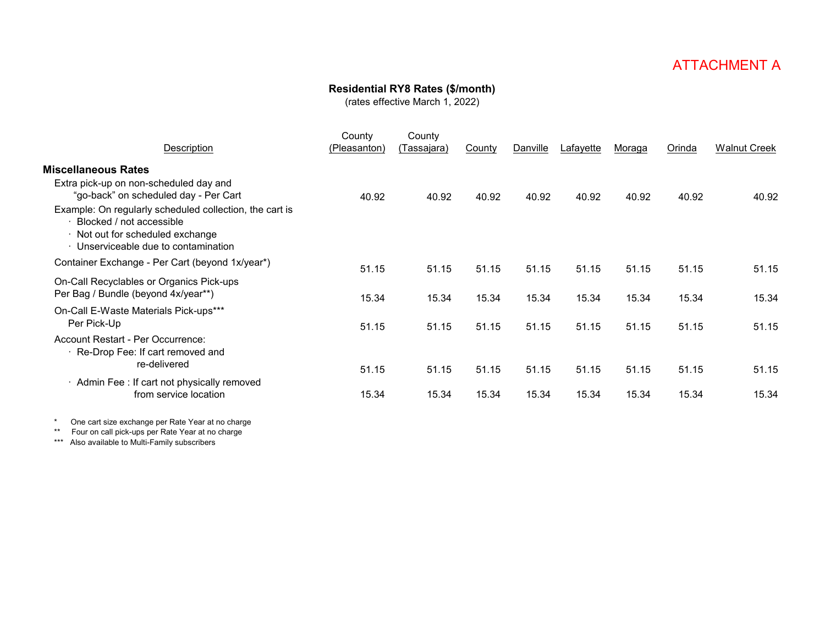### **Residential RY8 Rates (\$/month)**

(rates effective March 1, 2022)

| Description                                                                                                                                                                                                                                                                      | County<br>(Pleasanton) | County<br><u>Tassajara)</u> | County | Danville | Lafayette | <u>Moraga</u> | Orinda | <b>Walnut Creek</b> |
|----------------------------------------------------------------------------------------------------------------------------------------------------------------------------------------------------------------------------------------------------------------------------------|------------------------|-----------------------------|--------|----------|-----------|---------------|--------|---------------------|
| <b>Miscellaneous Rates</b><br>Extra pick-up on non-scheduled day and<br>"go-back" on scheduled day - Per Cart<br>Example: On regularly scheduled collection, the cart is<br>Blocked / not accessible<br>· Not out for scheduled exchange<br>· Unserviceable due to contamination | 40.92                  | 40.92                       | 40.92  | 40.92    | 40.92     | 40.92         | 40.92  | 40.92               |
| Container Exchange - Per Cart (beyond 1x/year*)                                                                                                                                                                                                                                  | 51.15                  | 51.15                       | 51.15  | 51.15    | 51.15     | 51.15         | 51.15  | 51.15               |
| On-Call Recyclables or Organics Pick-ups<br>Per Bag / Bundle (beyond 4x/year**)                                                                                                                                                                                                  | 15.34                  | 15.34                       | 15.34  | 15.34    | 15.34     | 15.34         | 15.34  | 15.34               |
| On-Call E-Waste Materials Pick-ups***<br>Per Pick-Up<br>Account Restart - Per Occurrence:                                                                                                                                                                                        | 51.15                  | 51.15                       | 51.15  | 51.15    | 51.15     | 51.15         | 51.15  | 51.15               |
| Re-Drop Fee: If cart removed and<br>re-delivered                                                                                                                                                                                                                                 | 51.15                  | 51.15                       | 51.15  | 51.15    | 51.15     | 51.15         | 51.15  | 51.15               |
| · Admin Fee: If cart not physically removed<br>from service location                                                                                                                                                                                                             | 15.34                  | 15.34                       | 15.34  | 15.34    | 15.34     | 15.34         | 15.34  | 15.34               |
|                                                                                                                                                                                                                                                                                  |                        |                             |        |          |           |               |        |                     |

\* One cart size exchange per Rate Year at no charge

\*\* Four on call pick-ups per Rate Year at no charge

\*\*\* Also available to Multi-Family subscribers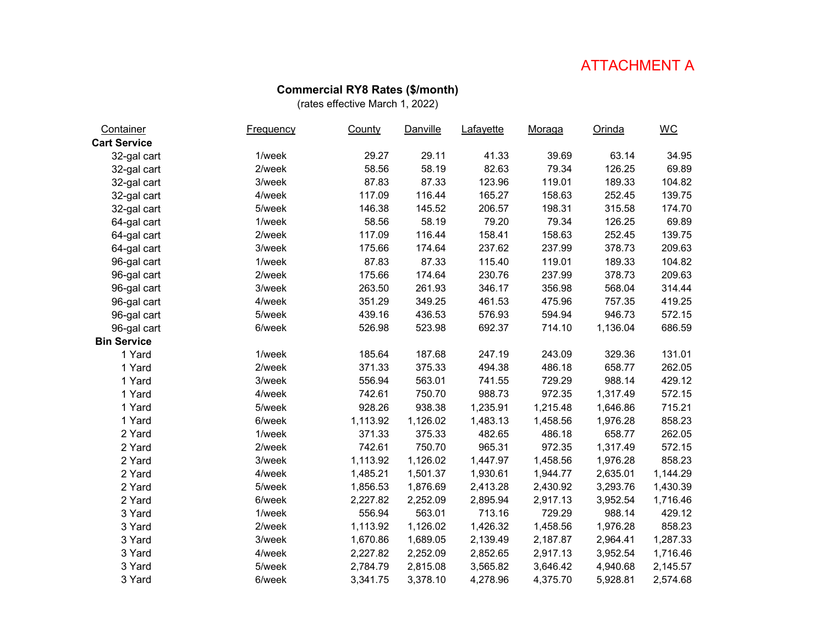#### **Commercial RY8 Rates (\$/month)**

| Container           | <b>Frequency</b> | County   | Danville | Lafayette | Moraga   | Orinda   | $\underline{\mathsf{W}\mathsf{C}}$ |
|---------------------|------------------|----------|----------|-----------|----------|----------|------------------------------------|
| <b>Cart Service</b> |                  |          |          |           |          |          |                                    |
| 32-gal cart         | 1/week           | 29.27    | 29.11    | 41.33     | 39.69    | 63.14    | 34.95                              |
| 32-gal cart         | 2/week           | 58.56    | 58.19    | 82.63     | 79.34    | 126.25   | 69.89                              |
| 32-gal cart         | 3/week           | 87.83    | 87.33    | 123.96    | 119.01   | 189.33   | 104.82                             |
| 32-gal cart         | 4/week           | 117.09   | 116.44   | 165.27    | 158.63   | 252.45   | 139.75                             |
| 32-gal cart         | 5/week           | 146.38   | 145.52   | 206.57    | 198.31   | 315.58   | 174.70                             |
| 64-gal cart         | 1/week           | 58.56    | 58.19    | 79.20     | 79.34    | 126.25   | 69.89                              |
| 64-gal cart         | 2/week           | 117.09   | 116.44   | 158.41    | 158.63   | 252.45   | 139.75                             |
| 64-gal cart         | 3/week           | 175.66   | 174.64   | 237.62    | 237.99   | 378.73   | 209.63                             |
| 96-gal cart         | 1/week           | 87.83    | 87.33    | 115.40    | 119.01   | 189.33   | 104.82                             |
| 96-gal cart         | 2/week           | 175.66   | 174.64   | 230.76    | 237.99   | 378.73   | 209.63                             |
| 96-gal cart         | 3/week           | 263.50   | 261.93   | 346.17    | 356.98   | 568.04   | 314.44                             |
| 96-gal cart         | 4/week           | 351.29   | 349.25   | 461.53    | 475.96   | 757.35   | 419.25                             |
| 96-gal cart         | 5/week           | 439.16   | 436.53   | 576.93    | 594.94   | 946.73   | 572.15                             |
| 96-gal cart         | 6/week           | 526.98   | 523.98   | 692.37    | 714.10   | 1,136.04 | 686.59                             |
| <b>Bin Service</b>  |                  |          |          |           |          |          |                                    |
| 1 Yard              | 1/week           | 185.64   | 187.68   | 247.19    | 243.09   | 329.36   | 131.01                             |
| 1 Yard              | 2/week           | 371.33   | 375.33   | 494.38    | 486.18   | 658.77   | 262.05                             |
| 1 Yard              | 3/week           | 556.94   | 563.01   | 741.55    | 729.29   | 988.14   | 429.12                             |
| 1 Yard              | 4/week           | 742.61   | 750.70   | 988.73    | 972.35   | 1,317.49 | 572.15                             |
| 1 Yard              | 5/week           | 928.26   | 938.38   | 1,235.91  | 1,215.48 | 1,646.86 | 715.21                             |
| 1 Yard              | 6/week           | 1,113.92 | 1,126.02 | 1,483.13  | 1,458.56 | 1,976.28 | 858.23                             |
| 2 Yard              | 1/week           | 371.33   | 375.33   | 482.65    | 486.18   | 658.77   | 262.05                             |
| 2 Yard              | 2/week           | 742.61   | 750.70   | 965.31    | 972.35   | 1,317.49 | 572.15                             |
| 2 Yard              | 3/week           | 1,113.92 | 1,126.02 | 1,447.97  | 1,458.56 | 1,976.28 | 858.23                             |
| 2 Yard              | 4/week           | 1,485.21 | 1,501.37 | 1,930.61  | 1,944.77 | 2,635.01 | 1,144.29                           |
| 2 Yard              | 5/week           | 1,856.53 | 1,876.69 | 2,413.28  | 2,430.92 | 3,293.76 | 1,430.39                           |
| 2 Yard              | 6/week           | 2,227.82 | 2,252.09 | 2,895.94  | 2,917.13 | 3,952.54 | 1,716.46                           |
| 3 Yard              | 1/week           | 556.94   | 563.01   | 713.16    | 729.29   | 988.14   | 429.12                             |
| 3 Yard              | 2/week           | 1,113.92 | 1,126.02 | 1,426.32  | 1,458.56 | 1,976.28 | 858.23                             |
| 3 Yard              | 3/week           | 1,670.86 | 1,689.05 | 2,139.49  | 2,187.87 | 2,964.41 | 1,287.33                           |
| 3 Yard              | 4/week           | 2,227.82 | 2,252.09 | 2,852.65  | 2,917.13 | 3,952.54 | 1,716.46                           |
| 3 Yard              | 5/week           | 2,784.79 | 2,815.08 | 3,565.82  | 3,646.42 | 4,940.68 | 2,145.57                           |
| 3 Yard              | 6/week           | 3,341.75 | 3,378.10 | 4,278.96  | 4,375.70 | 5,928.81 | 2,574.68                           |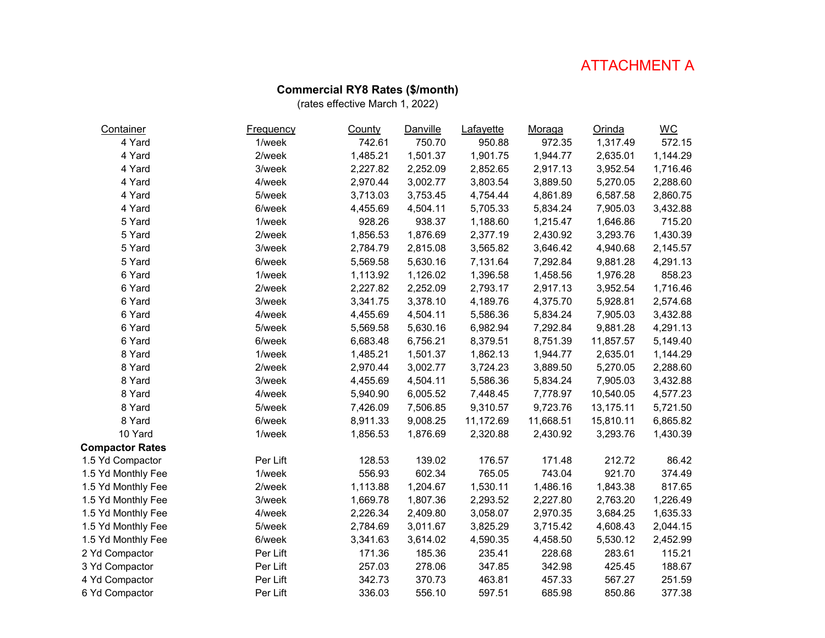#### **Commercial RY8 Rates (\$/month)**

| Container              | <b>Frequency</b> | County   | <b>Danville</b> | Lafayette | Moraga    | Orinda    | $\underline{\mathsf{W}}\underline{\mathsf{C}}$ |
|------------------------|------------------|----------|-----------------|-----------|-----------|-----------|------------------------------------------------|
| 4 Yard                 | 1/week           | 742.61   | 750.70          | 950.88    | 972.35    | 1,317.49  | 572.15                                         |
| 4 Yard                 | 2/week           | 1,485.21 | 1,501.37        | 1,901.75  | 1,944.77  | 2,635.01  | 1,144.29                                       |
| 4 Yard                 | 3/week           | 2,227.82 | 2,252.09        | 2,852.65  | 2,917.13  | 3,952.54  | 1,716.46                                       |
| 4 Yard                 | 4/week           | 2,970.44 | 3,002.77        | 3,803.54  | 3,889.50  | 5,270.05  | 2,288.60                                       |
| 4 Yard                 | 5/week           | 3,713.03 | 3,753.45        | 4,754.44  | 4,861.89  | 6,587.58  | 2,860.75                                       |
| 4 Yard                 | 6/week           | 4,455.69 | 4,504.11        | 5,705.33  | 5,834.24  | 7,905.03  | 3,432.88                                       |
| 5 Yard                 | 1/week           | 928.26   | 938.37          | 1,188.60  | 1,215.47  | 1,646.86  | 715.20                                         |
| 5 Yard                 | 2/week           | 1,856.53 | 1,876.69        | 2,377.19  | 2,430.92  | 3,293.76  | 1,430.39                                       |
| 5 Yard                 | 3/week           | 2,784.79 | 2,815.08        | 3,565.82  | 3,646.42  | 4,940.68  | 2,145.57                                       |
| 5 Yard                 | 6/week           | 5,569.58 | 5,630.16        | 7,131.64  | 7,292.84  | 9,881.28  | 4,291.13                                       |
| 6 Yard                 | 1/week           | 1,113.92 | 1,126.02        | 1,396.58  | 1,458.56  | 1,976.28  | 858.23                                         |
| 6 Yard                 | 2/week           | 2,227.82 | 2,252.09        | 2,793.17  | 2,917.13  | 3,952.54  | 1,716.46                                       |
| 6 Yard                 | 3/week           | 3,341.75 | 3,378.10        | 4,189.76  | 4,375.70  | 5,928.81  | 2,574.68                                       |
| 6 Yard                 | 4/week           | 4,455.69 | 4,504.11        | 5,586.36  | 5,834.24  | 7,905.03  | 3,432.88                                       |
| 6 Yard                 | 5/week           | 5,569.58 | 5,630.16        | 6,982.94  | 7,292.84  | 9,881.28  | 4,291.13                                       |
| 6 Yard                 | 6/week           | 6,683.48 | 6,756.21        | 8,379.51  | 8,751.39  | 11,857.57 | 5,149.40                                       |
| 8 Yard                 | 1/week           | 1,485.21 | 1,501.37        | 1,862.13  | 1,944.77  | 2,635.01  | 1,144.29                                       |
| 8 Yard                 | 2/week           | 2,970.44 | 3,002.77        | 3,724.23  | 3,889.50  | 5,270.05  | 2,288.60                                       |
| 8 Yard                 | 3/week           | 4,455.69 | 4,504.11        | 5,586.36  | 5,834.24  | 7,905.03  | 3,432.88                                       |
| 8 Yard                 | 4/week           | 5,940.90 | 6,005.52        | 7,448.45  | 7,778.97  | 10,540.05 | 4,577.23                                       |
| 8 Yard                 | 5/week           | 7,426.09 | 7,506.85        | 9,310.57  | 9,723.76  | 13,175.11 | 5,721.50                                       |
| 8 Yard                 | 6/week           | 8,911.33 | 9,008.25        | 11,172.69 | 11,668.51 | 15,810.11 | 6,865.82                                       |
| 10 Yard                | 1/week           | 1,856.53 | 1,876.69        | 2,320.88  | 2,430.92  | 3,293.76  | 1,430.39                                       |
| <b>Compactor Rates</b> |                  |          |                 |           |           |           |                                                |
| 1.5 Yd Compactor       | Per Lift         | 128.53   | 139.02          | 176.57    | 171.48    | 212.72    | 86.42                                          |
| 1.5 Yd Monthly Fee     | 1/week           | 556.93   | 602.34          | 765.05    | 743.04    | 921.70    | 374.49                                         |
| 1.5 Yd Monthly Fee     | 2/week           | 1,113.88 | 1,204.67        | 1,530.11  | 1,486.16  | 1,843.38  | 817.65                                         |
| 1.5 Yd Monthly Fee     | 3/week           | 1,669.78 | 1,807.36        | 2,293.52  | 2,227.80  | 2,763.20  | 1,226.49                                       |
| 1.5 Yd Monthly Fee     | 4/week           | 2,226.34 | 2,409.80        | 3,058.07  | 2,970.35  | 3,684.25  | 1,635.33                                       |
| 1.5 Yd Monthly Fee     | 5/week           | 2,784.69 | 3,011.67        | 3,825.29  | 3,715.42  | 4,608.43  | 2,044.15                                       |
| 1.5 Yd Monthly Fee     | 6/week           | 3,341.63 | 3,614.02        | 4,590.35  | 4,458.50  | 5,530.12  | 2,452.99                                       |
| 2 Yd Compactor         | Per Lift         | 171.36   | 185.36          | 235.41    | 228.68    | 283.61    | 115.21                                         |
| 3 Yd Compactor         | Per Lift         | 257.03   | 278.06          | 347.85    | 342.98    | 425.45    | 188.67                                         |
| 4 Yd Compactor         | Per Lift         | 342.73   | 370.73          | 463.81    | 457.33    | 567.27    | 251.59                                         |
| 6 Yd Compactor         | Per Lift         | 336.03   | 556.10          | 597.51    | 685.98    | 850.86    | 377.38                                         |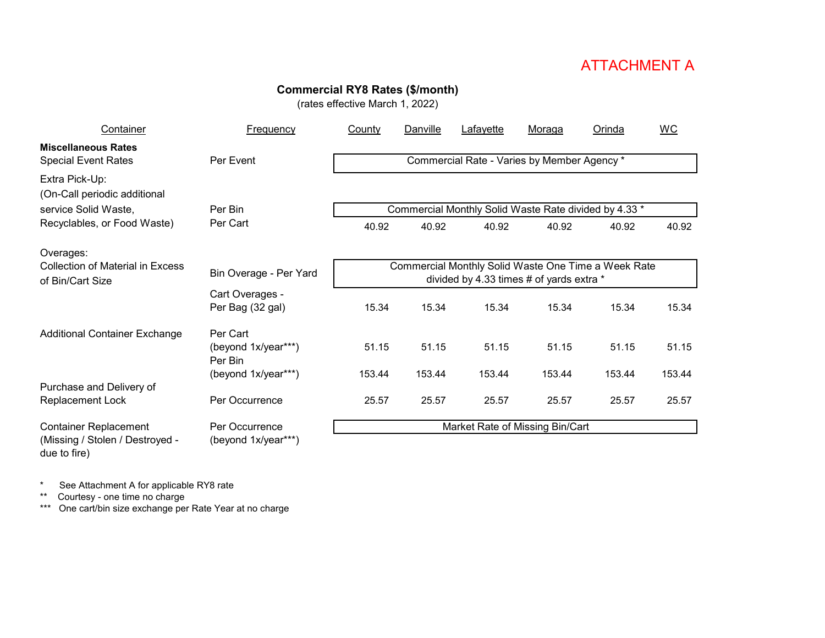### **Commercial RY8 Rates (\$/month)**

(rates effective March 1, 2022)

| Container                                                   | <b>Frequency</b>                                                                                                          | County                          | Danville | Lafayette                                             | Moraga                                      | Orinda | <b>WC</b> |  |  |
|-------------------------------------------------------------|---------------------------------------------------------------------------------------------------------------------------|---------------------------------|----------|-------------------------------------------------------|---------------------------------------------|--------|-----------|--|--|
| <b>Miscellaneous Rates</b><br><b>Special Event Rates</b>    | Per Event                                                                                                                 |                                 |          |                                                       | Commercial Rate - Varies by Member Agency * |        |           |  |  |
| Extra Pick-Up:<br>(On-Call periodic additional              |                                                                                                                           |                                 |          |                                                       |                                             |        |           |  |  |
| service Solid Waste,                                        | Per Bin                                                                                                                   |                                 |          | Commercial Monthly Solid Waste Rate divided by 4.33 * |                                             |        |           |  |  |
| Recyclables, or Food Waste)                                 | Per Cart                                                                                                                  | 40.92                           | 40.92    | 40.92                                                 | 40.92                                       | 40.92  | 40.92     |  |  |
| Overages:                                                   |                                                                                                                           |                                 |          |                                                       |                                             |        |           |  |  |
| <b>Collection of Material in Excess</b><br>of Bin/Cart Size | Commercial Monthly Solid Waste One Time a Week Rate<br>Bin Overage - Per Yard<br>divided by 4.33 times # of yards extra * |                                 |          |                                                       |                                             |        |           |  |  |
|                                                             | Cart Overages -<br>Per Bag (32 gal)                                                                                       | 15.34                           | 15.34    | 15.34                                                 | 15.34                                       | 15.34  | 15.34     |  |  |
| <b>Additional Container Exchange</b>                        | Per Cart<br>(beyond 1x/year***)                                                                                           | 51.15                           | 51.15    | 51.15                                                 | 51.15                                       | 51.15  | 51.15     |  |  |
|                                                             | Per Bin<br>(beyond 1x/year***)                                                                                            | 153.44                          | 153.44   | 153.44                                                | 153.44                                      | 153.44 | 153.44    |  |  |
| Purchase and Delivery of<br>Replacement Lock                | Per Occurrence                                                                                                            | 25.57                           | 25.57    | 25.57                                                 | 25.57                                       | 25.57  | 25.57     |  |  |
| <b>Container Replacement</b>                                | Per Occurrence                                                                                                            | Market Rate of Missing Bin/Cart |          |                                                       |                                             |        |           |  |  |
| (Missing / Stolen / Destroyed -<br>due to fire)             | (beyond 1x/year***)                                                                                                       |                                 |          |                                                       |                                             |        |           |  |  |

\* See Attachment A for applicable RY8 rate

\*\* Courtesy - one time no charge

\*\*\* One cart/bin size exchange per Rate Year at no charge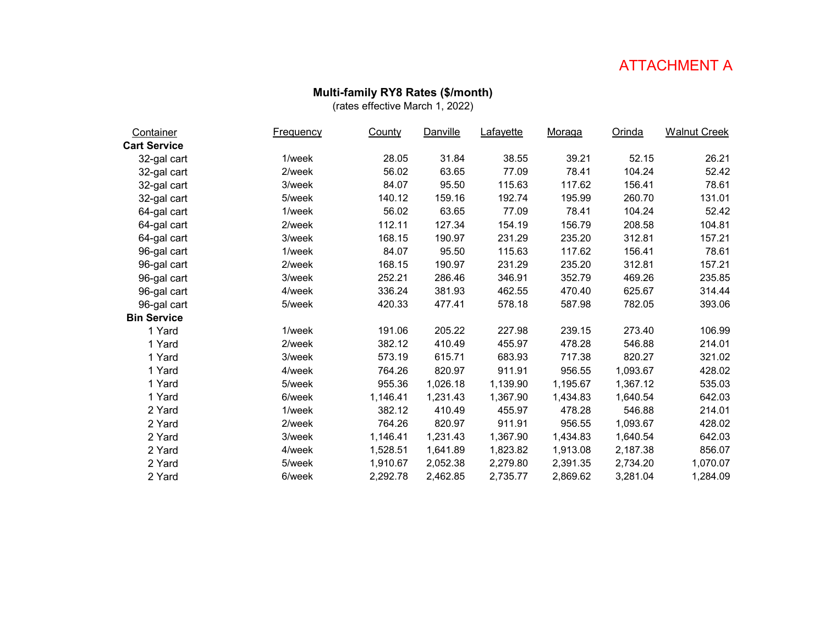### **Multi-family RY8 Rates (\$/month)**

| Container           | <b>Frequency</b> | County   | Danville | <b>Lafayette</b> | <u>Moraga</u> | Orinda   | <b>Walnut Creek</b> |
|---------------------|------------------|----------|----------|------------------|---------------|----------|---------------------|
| <b>Cart Service</b> |                  |          |          |                  |               |          |                     |
| 32-gal cart         | 1/week           | 28.05    | 31.84    | 38.55            | 39.21         | 52.15    | 26.21               |
| 32-gal cart         | 2/week           | 56.02    | 63.65    | 77.09            | 78.41         | 104.24   | 52.42               |
| 32-gal cart         | 3/week           | 84.07    | 95.50    | 115.63           | 117.62        | 156.41   | 78.61               |
| 32-gal cart         | 5/week           | 140.12   | 159.16   | 192.74           | 195.99        | 260.70   | 131.01              |
| 64-gal cart         | 1/week           | 56.02    | 63.65    | 77.09            | 78.41         | 104.24   | 52.42               |
| 64-gal cart         | 2/week           | 112.11   | 127.34   | 154.19           | 156.79        | 208.58   | 104.81              |
| 64-gal cart         | 3/week           | 168.15   | 190.97   | 231.29           | 235.20        | 312.81   | 157.21              |
| 96-gal cart         | 1/week           | 84.07    | 95.50    | 115.63           | 117.62        | 156.41   | 78.61               |
| 96-gal cart         | 2/week           | 168.15   | 190.97   | 231.29           | 235.20        | 312.81   | 157.21              |
| 96-gal cart         | 3/week           | 252.21   | 286.46   | 346.91           | 352.79        | 469.26   | 235.85              |
| 96-gal cart         | 4/week           | 336.24   | 381.93   | 462.55           | 470.40        | 625.67   | 314.44              |
| 96-gal cart         | 5/week           | 420.33   | 477.41   | 578.18           | 587.98        | 782.05   | 393.06              |
| <b>Bin Service</b>  |                  |          |          |                  |               |          |                     |
| 1 Yard              | 1/week           | 191.06   | 205.22   | 227.98           | 239.15        | 273.40   | 106.99              |
| 1 Yard              | 2/week           | 382.12   | 410.49   | 455.97           | 478.28        | 546.88   | 214.01              |
| 1 Yard              | 3/week           | 573.19   | 615.71   | 683.93           | 717.38        | 820.27   | 321.02              |
| 1 Yard              | 4/week           | 764.26   | 820.97   | 911.91           | 956.55        | 1,093.67 | 428.02              |
| 1 Yard              | 5/week           | 955.36   | 1,026.18 | 1,139.90         | 1,195.67      | 1,367.12 | 535.03              |
| 1 Yard              | 6/week           | 1,146.41 | 1,231.43 | 1,367.90         | 1,434.83      | 1,640.54 | 642.03              |
| 2 Yard              | 1/week           | 382.12   | 410.49   | 455.97           | 478.28        | 546.88   | 214.01              |
| 2 Yard              | 2/week           | 764.26   | 820.97   | 911.91           | 956.55        | 1,093.67 | 428.02              |
| 2 Yard              | 3/week           | 1,146.41 | 1,231.43 | 1,367.90         | 1,434.83      | 1,640.54 | 642.03              |
| 2 Yard              | 4/week           | 1,528.51 | 1,641.89 | 1,823.82         | 1,913.08      | 2,187.38 | 856.07              |
| 2 Yard              | 5/week           | 1,910.67 | 2,052.38 | 2,279.80         | 2,391.35      | 2,734.20 | 1,070.07            |
| 2 Yard              | 6/week           | 2,292.78 | 2,462.85 | 2,735.77         | 2,869.62      | 3,281.04 | 1,284.09            |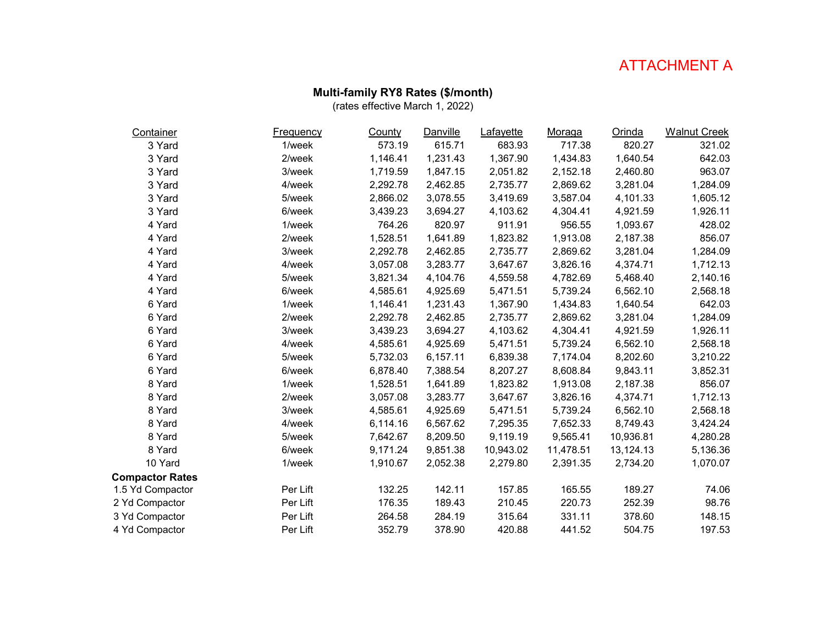#### **Multi-family RY8 Rates (\$/month)**

| Container              | <b>Frequency</b> | County   | Danville | Lafayette | Moraga    | Orinda    | <b>Walnut Creek</b> |
|------------------------|------------------|----------|----------|-----------|-----------|-----------|---------------------|
| 3 Yard                 | 1/week           | 573.19   | 615.71   | 683.93    | 717.38    | 820.27    | 321.02              |
| 3 Yard                 | 2/week           | 1,146.41 | 1,231.43 | 1,367.90  | 1,434.83  | 1,640.54  | 642.03              |
| 3 Yard                 | 3/week           | 1,719.59 | 1,847.15 | 2,051.82  | 2,152.18  | 2,460.80  | 963.07              |
| 3 Yard                 | 4/week           | 2,292.78 | 2,462.85 | 2,735.77  | 2,869.62  | 3,281.04  | 1,284.09            |
| 3 Yard                 | 5/week           | 2,866.02 | 3,078.55 | 3,419.69  | 3,587.04  | 4,101.33  | 1,605.12            |
| 3 Yard                 | 6/week           | 3,439.23 | 3,694.27 | 4,103.62  | 4,304.41  | 4,921.59  | 1,926.11            |
| 4 Yard                 | 1/week           | 764.26   | 820.97   | 911.91    | 956.55    | 1,093.67  | 428.02              |
| 4 Yard                 | 2/week           | 1,528.51 | 1,641.89 | 1,823.82  | 1,913.08  | 2,187.38  | 856.07              |
| 4 Yard                 | 3/week           | 2,292.78 | 2,462.85 | 2,735.77  | 2,869.62  | 3,281.04  | 1,284.09            |
| 4 Yard                 | 4/week           | 3,057.08 | 3,283.77 | 3,647.67  | 3,826.16  | 4,374.71  | 1,712.13            |
| 4 Yard                 | 5/week           | 3,821.34 | 4,104.76 | 4,559.58  | 4,782.69  | 5,468.40  | 2,140.16            |
| 4 Yard                 | 6/week           | 4,585.61 | 4,925.69 | 5,471.51  | 5,739.24  | 6,562.10  | 2,568.18            |
| 6 Yard                 | 1/week           | 1,146.41 | 1,231.43 | 1,367.90  | 1,434.83  | 1,640.54  | 642.03              |
| 6 Yard                 | 2/week           | 2,292.78 | 2,462.85 | 2,735.77  | 2,869.62  | 3,281.04  | 1,284.09            |
| 6 Yard                 | 3/week           | 3,439.23 | 3,694.27 | 4,103.62  | 4,304.41  | 4,921.59  | 1,926.11            |
| 6 Yard                 | 4/week           | 4,585.61 | 4,925.69 | 5,471.51  | 5,739.24  | 6,562.10  | 2,568.18            |
| 6 Yard                 | 5/week           | 5,732.03 | 6,157.11 | 6,839.38  | 7,174.04  | 8,202.60  | 3,210.22            |
| 6 Yard                 | 6/week           | 6,878.40 | 7,388.54 | 8,207.27  | 8,608.84  | 9,843.11  | 3,852.31            |
| 8 Yard                 | 1/week           | 1,528.51 | 1,641.89 | 1,823.82  | 1,913.08  | 2,187.38  | 856.07              |
| 8 Yard                 | 2/week           | 3,057.08 | 3,283.77 | 3,647.67  | 3,826.16  | 4,374.71  | 1,712.13            |
| 8 Yard                 | 3/week           | 4,585.61 | 4,925.69 | 5,471.51  | 5,739.24  | 6,562.10  | 2,568.18            |
| 8 Yard                 | 4/week           | 6,114.16 | 6,567.62 | 7,295.35  | 7,652.33  | 8,749.43  | 3,424.24            |
| 8 Yard                 | 5/week           | 7,642.67 | 8,209.50 | 9,119.19  | 9,565.41  | 10,936.81 | 4,280.28            |
| 8 Yard                 | 6/week           | 9,171.24 | 9,851.38 | 10,943.02 | 11,478.51 | 13,124.13 | 5,136.36            |
| 10 Yard                | 1/week           | 1,910.67 | 2,052.38 | 2,279.80  | 2,391.35  | 2,734.20  | 1,070.07            |
| <b>Compactor Rates</b> |                  |          |          |           |           |           |                     |
| 1.5 Yd Compactor       | Per Lift         | 132.25   | 142.11   | 157.85    | 165.55    | 189.27    | 74.06               |
| 2 Yd Compactor         | Per Lift         | 176.35   | 189.43   | 210.45    | 220.73    | 252.39    | 98.76               |
| 3 Yd Compactor         | Per Lift         | 264.58   | 284.19   | 315.64    | 331.11    | 378.60    | 148.15              |
| 4 Yd Compactor         | Per Lift         | 352.79   | 378.90   | 420.88    | 441.52    | 504.75    | 197.53              |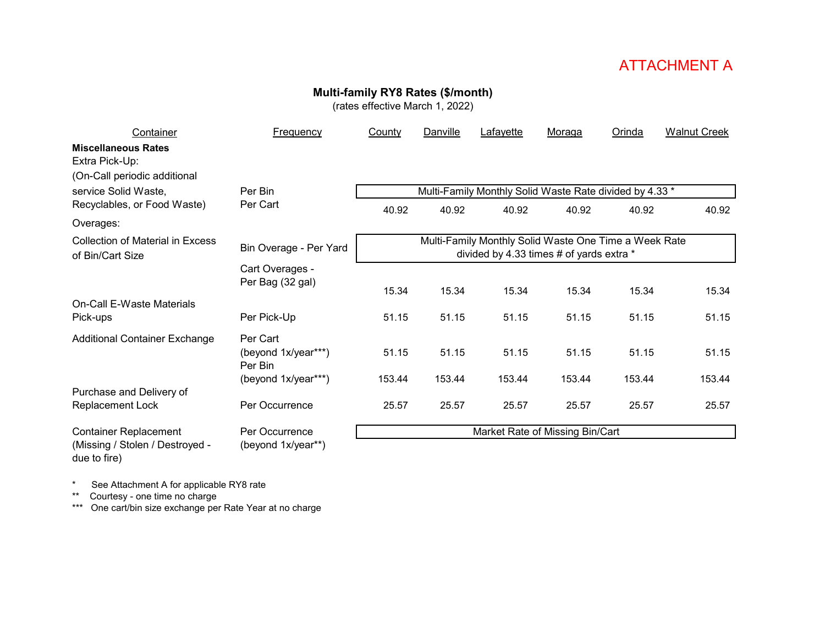# **Multi-family RY8 Rates (\$/month)**

(rates effective March 1, 2022)

| Container                                                   | Frequency                      | County | Danville | Lafayette                                                                                         | Moraga | Orinda | <b>Walnut Creek</b> |
|-------------------------------------------------------------|--------------------------------|--------|----------|---------------------------------------------------------------------------------------------------|--------|--------|---------------------|
| <b>Miscellaneous Rates</b><br>Extra Pick-Up:                |                                |        |          |                                                                                                   |        |        |                     |
| (On-Call periodic additional                                |                                |        |          |                                                                                                   |        |        |                     |
| service Solid Waste,<br>Recyclables, or Food Waste)         | Per Bin<br>Per Cart            |        |          | Multi-Family Monthly Solid Waste Rate divided by 4.33 *                                           |        |        |                     |
| Overages:                                                   |                                | 40.92  | 40.92    | 40.92                                                                                             | 40.92  | 40.92  | 40.92               |
| <b>Collection of Material in Excess</b><br>of Bin/Cart Size | Bin Overage - Per Yard         |        |          | Multi-Family Monthly Solid Waste One Time a Week Rate<br>divided by 4.33 times # of yards extra * |        |        |                     |
|                                                             | Cart Overages -                |        |          |                                                                                                   |        |        |                     |
|                                                             | Per Bag (32 gal)               | 15.34  | 15.34    | 15.34                                                                                             | 15.34  | 15.34  | 15.34               |
| On-Call E-Waste Materials<br>Pick-ups                       | Per Pick-Up                    | 51.15  | 51.15    | 51.15                                                                                             | 51.15  | 51.15  | 51.15               |
| <b>Additional Container Exchange</b>                        | Per Cart                       |        |          |                                                                                                   |        |        |                     |
|                                                             | (beyond 1x/year***)<br>Per Bin | 51.15  | 51.15    | 51.15                                                                                             | 51.15  | 51.15  | 51.15               |
|                                                             | (beyond 1x/year***)            | 153.44 | 153.44   | 153.44                                                                                            | 153.44 | 153.44 | 153.44              |
| Purchase and Delivery of<br>Replacement Lock                | Per Occurrence                 | 25.57  | 25.57    | 25.57                                                                                             | 25.57  | 25.57  | 25.57               |
| <b>Container Replacement</b>                                | Per Occurrence                 |        |          | Market Rate of Missing Bin/Cart                                                                   |        |        |                     |
| (Missing / Stolen / Destroyed -<br>due to fire)             | (beyond 1x/year**)             |        |          |                                                                                                   |        |        |                     |

\* See Attachment A for applicable RY8 rate

\*\* Courtesy - one time no charge

\*\*\* One cart/bin size exchange per Rate Year at no charge